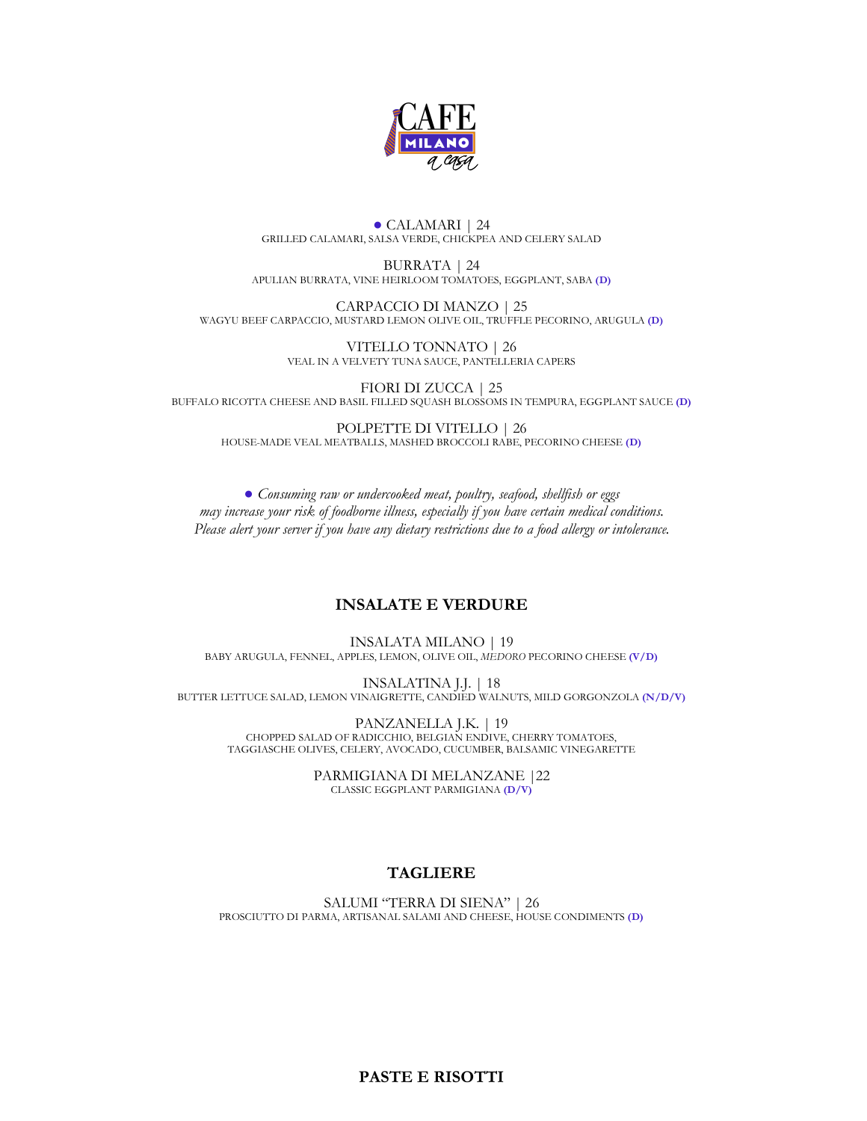

#### **●** CALAMARI | 24 GRILLED CALAMARI, SALSA VERDE, CHICKPEA AND CELERY SALAD

BURRATA | 24 APULIAN BURRATA, VINE HEIRLOOM TOMATOES, EGGPLANT, SABA **(D)**

CARPACCIO DI MANZO | 25 WAGYU BEEF CARPACCIO, MUSTARD LEMON OLIVE OIL, TRUFFLE PECORINO, ARUGULA **(D)**

> VITELLO TONNATO | 26 VEAL IN A VELVETY TUNA SAUCE, PANTELLERIA CAPERS

FIORI DI ZUCCA | 25 BUFFALO RICOTTA CHEESE AND BASIL FILLED SQUASH BLOSSOMS IN TEMPURA, EGGPLANT SAUCE **(D)**

POLPETTE DI VITELLO | 26 HOUSE-MADE VEAL MEATBALLS, MASHED BROCCOLI RABE, PECORINO CHEESE **(D)**

**●** *Consuming raw or undercooked meat, poultry, seafood, shellfish or eggs may increase your risk of foodborne illness, especially if you have certain medical conditions. Please alert your server if you have any dietary restrictions due to a food allergy or intolerance.*

### **INSALATE E VERDURE**

INSALATA MILANO | 19 BABY ARUGULA, FENNEL, APPLES, LEMON, OLIVE OIL, *MEDORO* PECORINO CHEESE **(V/D)**

INSALATINA J.J. | 18 BUTTER LETTUCE SALAD, LEMON VINAIGRETTE, CANDIED WALNUTS, MILD GORGONZOLA **(N/D/V)**

PANZANELLA J.K. | 19 CHOPPED SALAD OF RADICCHIO, BELGIAN ENDIVE, CHERRY TOMATOES, TAGGIASCHE OLIVES, CELERY, AVOCADO, CUCUMBER, BALSAMIC VINEGARETTE

> PARMIGIANA DI MELANZANE |22 CLASSIC EGGPLANT PARMIGIANA **(D/V)**

## **TAGLIERE**

SALUMI "TERRA DI SIENA" | 26 PROSCIUTTO DI PARMA, ARTISANAL SALAMI AND CHEESE, HOUSE CONDIMENTS **(D)**

**PASTE E RISOTTI**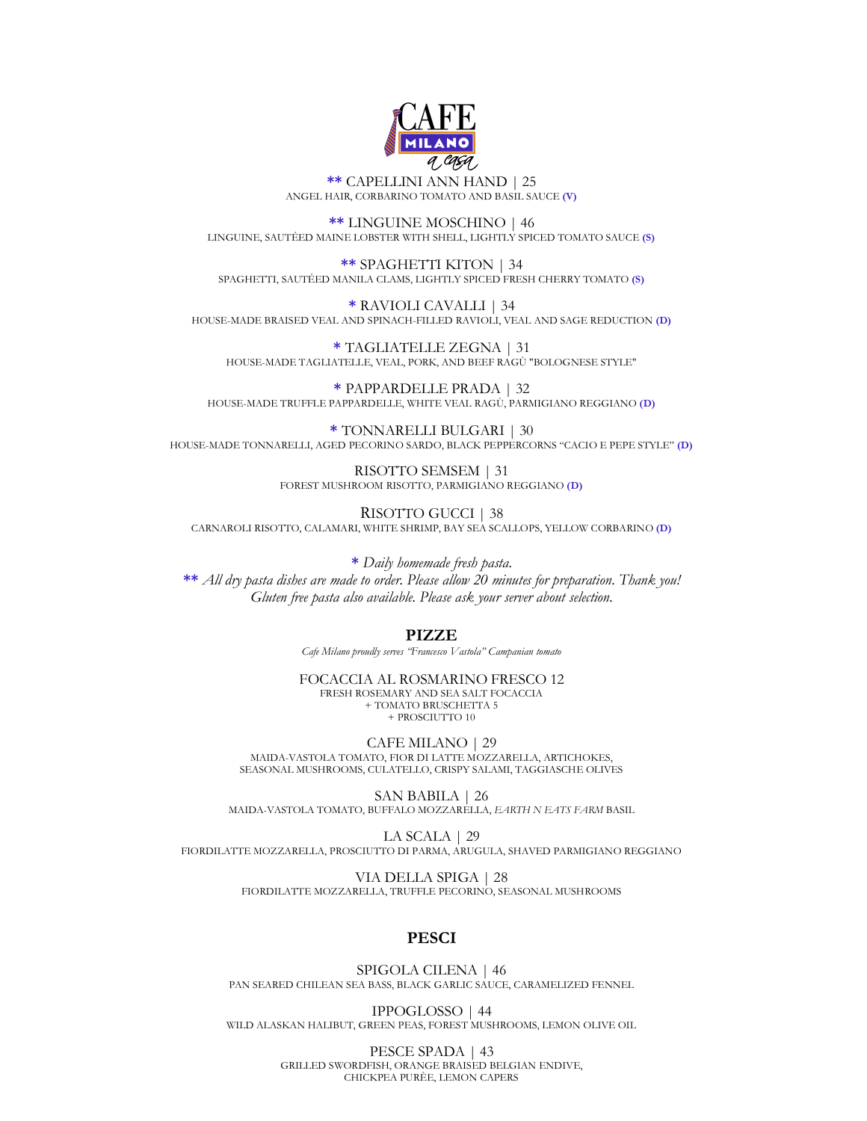

**\*\*** CAPELLINI ANN HAND | 25 ANGEL HAIR, CORBARINO TOMATO AND BASIL SAUCE **(V)**

**\*\*** LINGUINE MOSCHINO | 46 LINGUINE, SAUTÉED MAINE LOBSTER WITH SHELL, LIGHTLY SPICED TOMATO SAUCE **(S)**

**\*\*** SPAGHETTI KITON | 34 SPAGHETTI, SAUTÉED MANILA CLAMS, LIGHTLY SPICED FRESH CHERRY TOMATO **(S)**

**\*** RAVIOLI CAVALLI | 34 HOUSE-MADE BRAISED VEAL AND SPINACH-FILLED RAVIOLI, VEAL AND SAGE REDUCTION **(D)**

**\*** TAGLIATELLE ZEGNA | 31 HOUSE-MADE TAGLIATELLE, VEAL, PORK, AND BEEF RAGÙ "BOLOGNESE STYLE"

**\*** PAPPARDELLE PRADA | 32 HOUSE-MADE TRUFFLE PAPPARDELLE, WHITE VEAL RAGÙ, PARMIGIANO REGGIANO **(D)**

**\*** TONNARELLI BULGARI | 30 HOUSE-MADE TONNARELLI, AGED PECORINO SARDO, BLACK PEPPERCORNS "CACIO E PEPE STYLE" **(D)**

> RISOTTO SEMSEM | 31 FOREST MUSHROOM RISOTTO, PARMIGIANO REGGIANO **(D)**

RISOTTO GUCCI | 38 CARNAROLI RISOTTO, CALAMARI, WHITE SHRIMP, BAY SEA SCALLOPS, YELLOW CORBARINO **(D)**

**\*** *Daily homemade fresh pasta.*

**\*\*** *All dry pasta dishes are made to order. Please allow 20 minutes for preparation. Thank you! Gluten free pasta also available. Please ask your server about selection.*

### **PIZZE**

*Cafe Milano proudly serves "Francesco Vastola" Campanian tomato*

FOCACCIA AL ROSMARINO FRESCO 12 FRESH ROSEMARY AND SEA SALT FOCACCIA + TOMATO BRUSCHETTA 5 + PROSCIUTTO 10

CAFE MILANO | 29 MAIDA-VASTOLA TOMATO, FIOR DI LATTE MOZZARELLA, ARTICHOKES, SEASONAL MUSHROOMS, CULATELLO, CRISPY SALAMI, TAGGIASCHE OLIVES

SAN BABILA | 26 MAIDA-VASTOLA TOMATO, BUFFALO MOZZARELLA, *EARTH N EATS FARM* BASIL

LA SCALA | 29 FIORDILATTE MOZZARELLA, PROSCIUTTO DI PARMA, ARUGULA, SHAVED PARMIGIANO REGGIANO

> VIA DELLA SPIGA | 28 FIORDILATTE MOZZARELLA, TRUFFLE PECORINO, SEASONAL MUSHROOMS

## **PESCI**

SPIGOLA CILENA | 46 PAN SEARED CHILEAN SEA BASS, BLACK GARLIC SAUCE, CARAMELIZED FENNEL

IPPOGLOSSO | 44 WILD ALASKAN HALIBUT, GREEN PEAS, FOREST MUSHROOMS, LEMON OLIVE OIL

> PESCE SPADA | 43 GRILLED SWORDFISH, ORANGE BRAISED BELGIAN ENDIVE, CHICKPEA PURÈE, LEMON CAPERS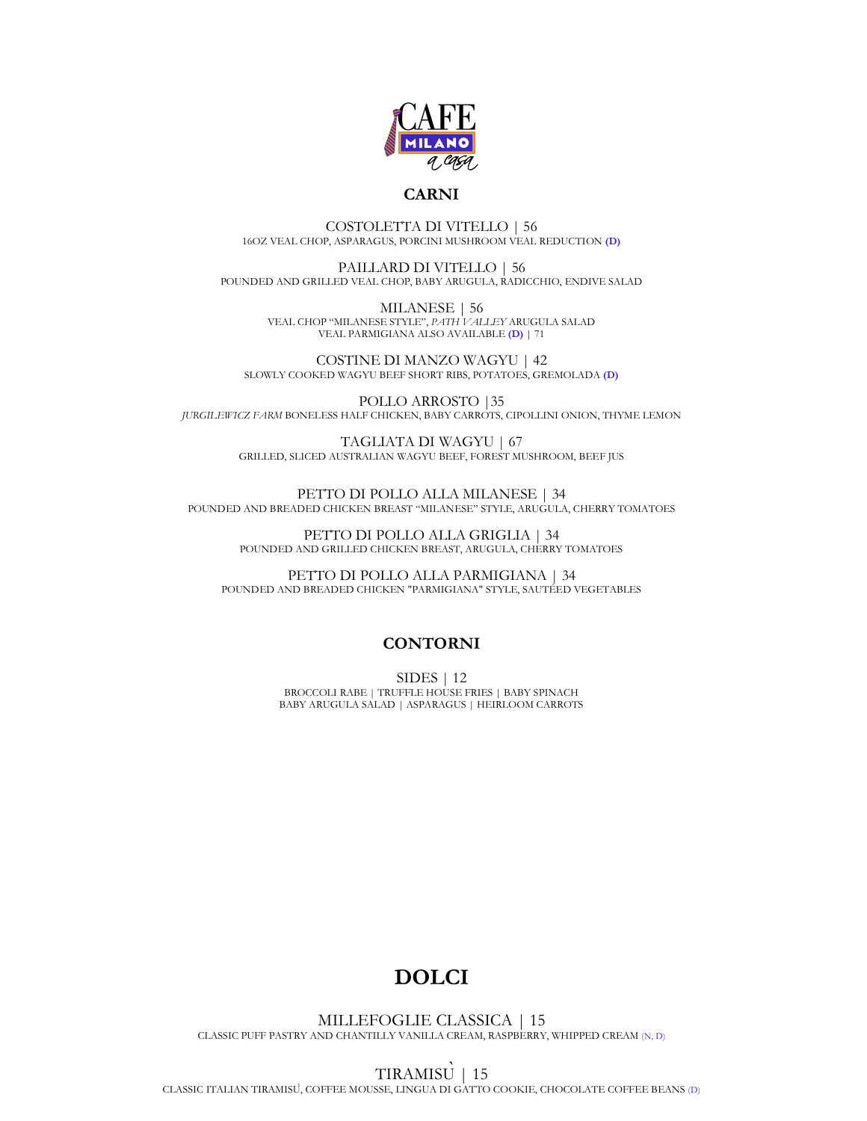

### **CARNI**

COSTOLETTA DI VITELLO | 56 16OZ VEAL CHOP, ASPARAGUS, PORCINI MUSHROOM VEAL REDUCTION **(D)** 

PAILLARD DI VITELLO | 56 POUNDED AND GRILLED VEAL CHOP, BABY ARUGULA, RADICCHIO, ENDIVE SALAD

> MILANESE | 56 VEAL CHOP "MILANESE STYLE", *PATH VALLEY* ARUGULA SALAD VEAL PARMIGIANA ALSO AVAILABLE **(D)** | 71

COSTINE DI MANZO WAGYU | 42 SLOWLY COOKED WAGYU BEEF SHORT RIBS, POTATOES, GREMOLADA **(D)**

POLLO ARROSTO |35 *JURGILEWICZ FARM* BONELESS HALF CHICKEN, BABY CARROTS, CIPOLLINI ONION, THYME LEMON

> TAGLIATA DI WAGYU | 67 GRILLED, SLICED AUSTRALIAN WAGYU BEEF, FOREST MUSHROOM, BEEF JUS

PETTO DI POLLO ALLA MILANESE | 34 POUNDED AND BREADED CHICKEN BREAST "MILANESE" STYLE, ARUGULA, CHERRY TOMATOES

> PETTO DI POLLO ALLA GRIGLIA | 34 POUNDED AND GRILLED CHICKEN BREAST, ARUGULA, CHERRY TOMATOES

PETTO DI POLLO ALLA PARMIGIANA | 34 POUNDED AND BREADED CHICKEN "PARMIGIANA" STYLE, SAUTÉED VEGETABLES

### **CONTORNI**

SIDES | 12 BROCCOLI RABE | TRUFFLE HOUSE FRIES | BABY SPINACH BABY ARUGULA SALAD | ASPARAGUS | HEIRLOOM CARROTS

# **DOLCI**

MILLEFOGLIE CLASSICA | 15 CLASSIC PUFF PASTRY AND CHANTILLY VANILLA CREAM, RASPBERRY, WHIPPED CREAM (N, D)

TIRAMISÙ| 15 CLASSIC ITALIAN TIRAMISÙ, COFFEE MOUSSE, LINGUA DI GATTO COOKIE, CHOCOLATE COFFEE BEANS (D)